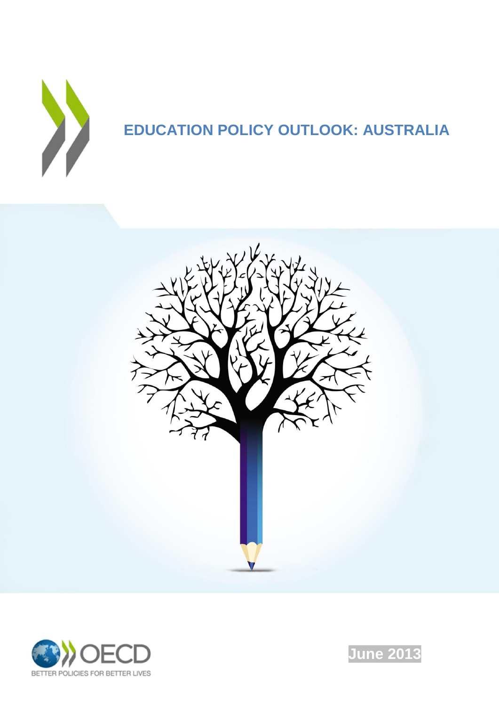





**June 2013**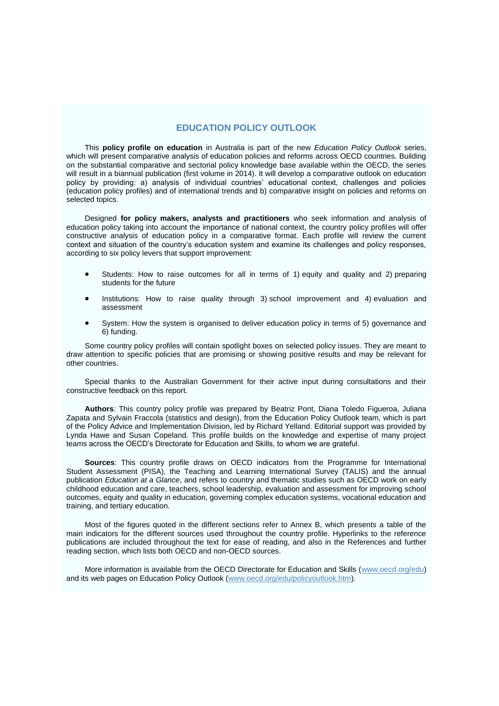## **EDUCATION POLICY OUTLOOK**

This **policy profile on education** in Australia is part of the new *Education Policy Outlook* series, which will present comparative analysis of education policies and reforms across OECD countries. Building on the substantial comparative and sectorial policy knowledge base available within the OECD, the series will result in a biannual publication (first volume in 2014). It will develop a comparative outlook on education policy by providing: a) analysis of individual countries' educational context, challenges and policies (education policy profiles) and of international trends and b) comparative insight on policies and reforms on selected topics.

Designed **for policy makers, analysts and practitioners** who seek information and analysis of education policy taking into account the importance of national context, the country policy profiles will offer constructive analysis of education policy in a comparative format. Each profile will review the current context and situation of the country's education system and examine its challenges and policy responses, according to six policy levers that support improvement:

- Students: How to raise outcomes for all in terms of 1) equity and quality and 2) preparing students for the future
- Institutions: How to raise quality through 3) school improvement and 4) evaluation and assessment
- System: How the system is organised to deliver education policy in terms of 5) governance and 6) funding.

Some country policy profiles will contain spotlight boxes on selected policy issues. They are meant to draw attention to specific policies that are promising or showing positive results and may be relevant for other countries.

Special thanks to the Australian Government for their active input during consultations and their constructive feedback on this report.

**Authors**: This country policy profile was prepared by Beatriz Pont, Diana Toledo Figueroa, Juliana Zapata and Sylvain Fraccola (statistics and design), from the Education Policy Outlook team, which is part of the Policy Advice and Implementation Division, led by Richard Yelland. Editorial support was provided by Lynda Hawe and Susan Copeland. This profile builds on the knowledge and expertise of many project teams across the OECD's Directorate for Education and Skills, to whom we are grateful.

**Sources**: This country profile draws on OECD indicators from the Programme for International Student Assessment (PISA), the Teaching and Learning International Survey (TALIS) and the annual publication *Education at a Glance*, and refers to country and thematic studies such as OECD work on early childhood education and care, teachers, school leadership, evaluation and assessment for improving school outcomes, equity and quality in education, governing complex education systems, vocational education and training, and tertiary education.

Most of the figures quoted in the different sections refer to Annex B, which presents a table of the main indicators for the different sources used throughout the country profile. Hyperlinks to the reference publications are included throughout the text for ease of reading, and also in the References and further reading section, which lists both OECD and non-OECD sources.

More information is available from the OECD Directorate for Education and Skills [\(www.oecd.org/edu\)](http://www.oecd.org/edu) and its web pages on Education Policy Outlook [\(www.oecd.org/edu/policyoutlook.htm\)](http://www.oecd.org/edu/policyoutlook.htm).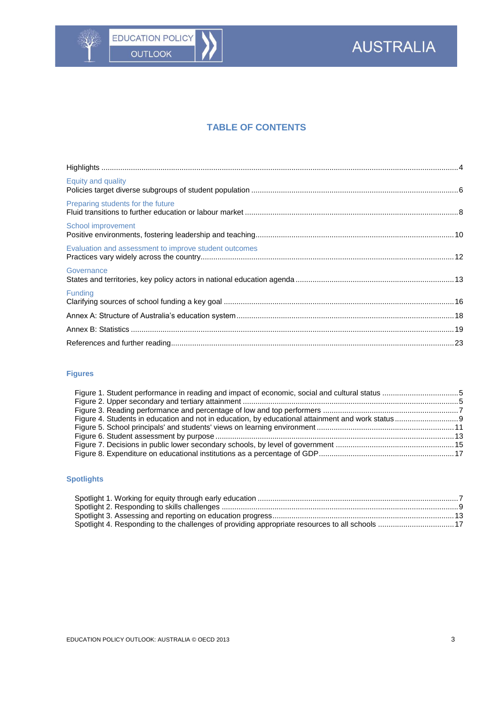

# **TABLE OF CONTENTS**

| Equity and quality                                    |  |
|-------------------------------------------------------|--|
| Preparing students for the future                     |  |
| School improvement                                    |  |
| Evaluation and assessment to improve student outcomes |  |
| Governance                                            |  |
| <b>Funding</b>                                        |  |
|                                                       |  |
|                                                       |  |
|                                                       |  |

## **Figures**

# **Spotlights**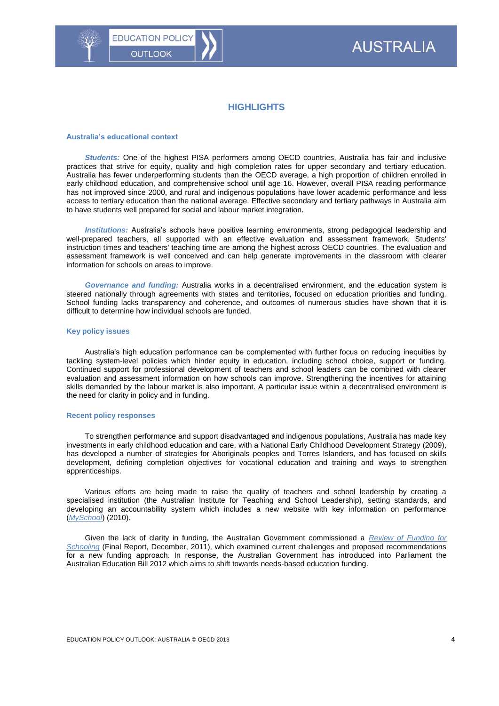## **HIGHLIGHTS**

#### <span id="page-3-0"></span>**Australia's educational context**

*Students:* One of the highest PISA performers among OECD countries, Australia has fair and inclusive practices that strive for equity, quality and high completion rates for upper secondary and tertiary education. Australia has fewer underperforming students than the OECD average, a high proportion of children enrolled in early childhood education, and comprehensive school until age 16. However, overall PISA reading performance has not improved since 2000, and rural and indigenous populations have lower academic performance and less access to tertiary education than the national average. Effective secondary and tertiary pathways in Australia aim to have students well prepared for social and labour market integration.

*Institutions:* Australia's schools have positive learning environments, strong pedagogical leadership and well-prepared teachers, all supported with an effective evaluation and assessment framework. Students' instruction times and teachers' teaching time are among the highest across OECD countries. The evaluation and assessment framework is well conceived and can help generate improvements in the classroom with clearer information for schools on areas to improve.

*Governance and funding:* Australia works in a decentralised environment, and the education system is steered nationally through agreements with states and territories, focused on education priorities and funding. School funding lacks transparency and coherence, and outcomes of numerous studies have shown that it is difficult to determine how individual schools are funded.

#### **Key policy issues**

Australia's high education performance can be complemented with further focus on reducing inequities by tackling system-level policies which hinder equity in education, including school choice, support or funding. Continued support for professional development of teachers and school leaders can be combined with clearer evaluation and assessment information on how schools can improve. Strengthening the incentives for attaining skills demanded by the labour market is also important. A particular issue within a decentralised environment is the need for clarity in policy and in funding.

#### **Recent policy responses**

To strengthen performance and support disadvantaged and indigenous populations, Australia has made key investments in early childhood education and care, with a National Early Childhood Development Strategy (2009), has developed a number of strategies for Aboriginals peoples and Torres Islanders, and has focused on skills development, defining completion objectives for vocational education and training and ways to strengthen apprenticeships.

Various efforts are being made to raise the quality of teachers and school leadership by creating a specialised institution (the Australian Institute for Teaching and School Leadership), setting standards, and developing an accountability system which includes a new website with key information on performance (*[MySchool](http://www.myschool.edu.au/)*) (2010).

Given the lack of clarity in funding, the Australian Government commissioned a *[Review of Funding for](http://www.betterschools.gov.au/review)  [Schooling](http://www.betterschools.gov.au/review)* (Final Report, December, 2011), which examined current challenges and proposed recommendations for a new funding approach. In response, the Australian Government has introduced into Parliament the Australian Education Bill 2012 which aims to shift towards needs-based education funding.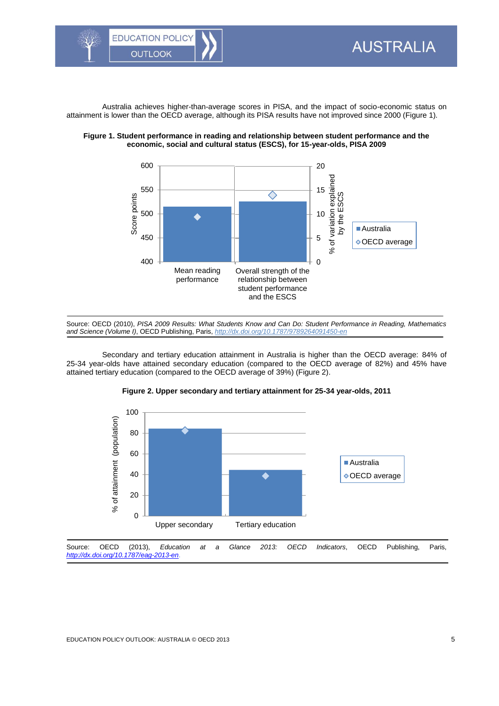<span id="page-4-0"></span>

Australia achieves higher-than-average scores in PISA, and the impact of socio-economic status on attainment is lower than the OECD average, although its PISA results have not improved since 2000 (Figure 1).





Source: OECD (2010), *PISA 2009 Results: What Students Know and Can Do: Student Performance in Reading, Mathematics and Science (Volume I)*, OECD Publishing, Paris, *<http://dx.doi.org/10.1787/9789264091450-en>*

Secondary and tertiary education attainment in Australia is higher than the OECD average: 84% of 25-34 year-olds have attained secondary education (compared to the OECD average of 82%) and 45% have attained tertiary education (compared to the OECD average of 39%) (Figure 2).



<span id="page-4-1"></span>**Figure 2. Upper secondary and tertiary attainment for 25-34 year-olds, 2011**

Source: OECD (2013), *Education at a Glance 2013: OECD Indicators*, OECD Publishing, Paris, *<http://dx.doi.org/10.1787/eag-2013-en>*.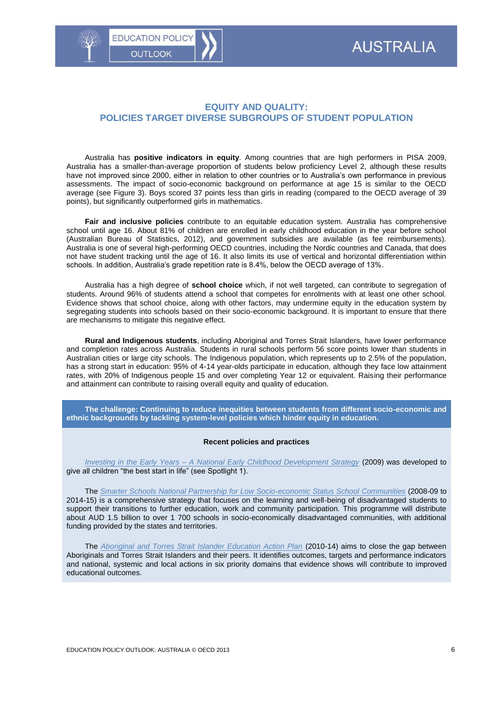

**EDUCATION POLICY** 

<span id="page-5-0"></span>**OUTLOOK** 

Australia has **positive indicators in equity**. Among countries that are high performers in PISA 2009, Australia has a smaller-than-average proportion of students below proficiency Level 2, although these results have not improved since 2000, either in relation to other countries or to Australia's own performance in previous assessments. The impact of socio-economic background on performance at age 15 is similar to the OECD average (see Figure 3). Boys scored 37 points less than girls in reading (compared to the OECD average of 39 points), but significantly outperformed girls in mathematics.

**Fair and inclusive policies** contribute to an equitable education system. Australia has comprehensive school until age 16. About 81% of children are enrolled in early childhood education in the year before school (Australian Bureau of Statistics, 2012), and government subsidies are available (as fee reimbursements). Australia is one of several high-performing OECD countries, including the Nordic countries and Canada, that does not have student tracking until the age of 16. It also limits its use of vertical and horizontal differentiation within schools. In addition, Australia's grade repetition rate is 8.4%, below the OECD average of 13%.

Australia has a high degree of **school choice** which, if not well targeted, can contribute to segregation of students. Around 96% of students attend a school that competes for enrolments with at least one other school. Evidence shows that school choice, along with other factors, may undermine equity in the education system by segregating students into schools based on their socio-economic background. It is important to ensure that there are mechanisms to mitigate this negative effect.

**Rural and Indigenous students**, including Aboriginal and Torres Strait Islanders, have lower performance and completion rates across Australia. Students in rural schools perform 56 score points lower than students in Australian cities or large city schools. The Indigenous population, which represents up to 2.5% of the population, has a strong start in education: 95% of 4-14 year-olds participate in education, although they face low attainment rates, with 20% of Indigenous people 15 and over completing Year 12 or equivalent. Raising their performance and attainment can contribute to raising overall equity and quality of education.

**The challenge: Continuing to reduce inequities between students from different socio-economic and ethnic backgrounds by tackling system-level policies which hinder equity in education.**

#### **Recent policies and practices**

*Investing in the Early Years – [A National Early Childhood Development Strategy](http://www.coag.gov.au/sites/default/files/national_ECD_strategy.pdf)* (2009) was developed to give all children "the best start in life" (see Spotlight 1).

The *[Smarter Schools National Partnership for Low Socio-economic Status School Communities](http://smarterschools.gov.au/low-socio-economic-status-school-communities)* (2008-09 to 2014-15) is a comprehensive strategy that focuses on the learning and well-being of disadvantaged students to support their transitions to further education, work and community participation. This programme will distribute about AUD 1.5 billion to over 1 700 schools in socio-economically disadvantaged communities, with additional funding provided by the states and territories.

The *[Aboriginal and Torres Strait Islander Education Action Plan](http://www.deewr.gov.au/Indigenous/Pages/ATSIEAP.aspx)* (2010-14) aims to close the gap between Aboriginals and Torres Strait Islanders and their peers. It identifies outcomes, targets and performance indicators and national, systemic and local actions in six priority domains that evidence shows will contribute to improved educational outcomes.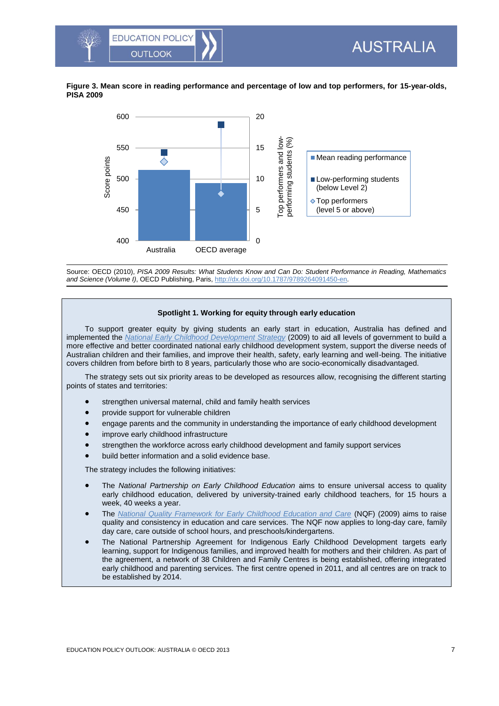**Figure 3. Mean score in reading performance and percentage of low and top performers, for 15-year-olds, PISA 2009**

<span id="page-6-0"></span>

Source: OECD (2010), *PISA 2009 Results: What Students Know and Can Do: Student Performance in Reading, Mathematics and Science (Volume I)*, OECD Publishing, Paris[, http://dx.doi.org/10.1787/9789264091450-en.](http://dx.doi.org/10.1787/9789264091450-en)

#### **Spotlight 1. Working for equity through early education**

To support greater equity by giving students an early start in education, Australia has defined and implemented the *[National Early Childhood Development Strategy](http://www.coag.gov.au/sites/default/files/national_ECD_strategy.pdf)* (2009) to aid all levels of government to build a more effective and better coordinated national early childhood development system, support the diverse needs of Australian children and their families, and improve their health, safety, early learning and well-being. The initiative covers children from before birth to 8 years, particularly those who are socio-economically disadvantaged.

The strategy sets out six priority areas to be developed as resources allow, recognising the different starting points of states and territories:

- strengthen universal maternal, child and family health services
- provide support for vulnerable children

**EDUCATION POLIC** 

**OUTLOOK** 

- engage parents and the community in understanding the importance of early childhood development
- improve early childhood infrastructure
- strengthen the workforce across early childhood development and family support services
- build better information and a solid evidence base.

The strategy includes the following initiatives:

- The *National Partnership on Early Childhood Education* aims to ensure universal access to quality early childhood education, delivered by university-trained early childhood teachers, for 15 hours a week, 40 weeks a year.
- The *[National Quality Framework for Early Childhood Education and Care](http://acecqa.gov.au/national-quality-framework/)* (NQF) (2009) aims to raise quality and consistency in education and care services*.* The NQF now applies to long-day care, family day care, care outside of school hours, and preschools/kindergartens.
- The National Partnership Agreement for Indigenous Early Childhood Development targets early learning, support for Indigenous families, and improved health for mothers and their children. As part of the agreement, a network of 38 Children and Family Centres is being established, offering integrated early childhood and parenting services. The first centre opened in 2011, and all centres are on track to be established by 2014.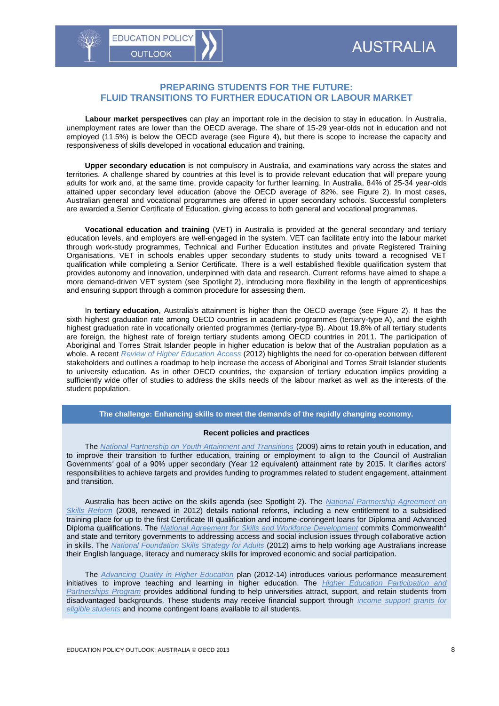## <span id="page-7-0"></span>**PREPARING STUDENTS FOR THE FUTURE: FLUID TRANSITIONS TO FURTHER EDUCATION OR LABOUR MARKET**

**Labour market perspectives** can play an important role in the decision to stay in education. In Australia, unemployment rates are lower than the OECD average. The share of 15-29 year-olds not in education and not employed (11.5%) is below the OECD average (see Figure 4), but there is scope to increase the capacity and responsiveness of skills developed in vocational education and training.

**Upper secondary education** is not compulsory in Australia, and examinations vary across the states and territories. A challenge shared by countries at this level is to provide relevant education that will prepare young adults for work and, at the same time, provide capacity for further learning. In Australia, 84% of 25-34 year-olds attained upper secondary level education (above the OECD average of 82%, see Figure 2). In most cases, Australian general and vocational programmes are offered in upper secondary schools. Successful completers are awarded a Senior Certificate of Education, giving access to both general and vocational programmes.

**Vocational education and training** (VET) in Australia is provided at the general secondary and tertiary education levels, and employers are well-engaged in the system. VET can facilitate entry into the labour market through work-study programmes, Technical and Further Education institutes and private Registered Training Organisations. VET in schools enables upper secondary students to study units toward a recognised VET qualification while completing a Senior Certificate. There is a well established flexible qualification system that provides autonomy and innovation, underpinned with data and research. Current reforms have aimed to shape a more demand-driven VET system (see Spotlight 2), introducing more flexibility in the length of apprenticeships and ensuring support through a common procedure for assessing them.

In **tertiary education**, Australia's attainment is higher than the OECD average (see Figure 2). It has the sixth highest graduation rate among OECD countries in academic programmes (tertiary-type A), and the eighth highest graduation rate in vocationally oriented programmes (tertiary-type B). About 19.8% of all tertiary students are foreign, the highest rate of foreign tertiary students among OECD countries in 2011. The participation of Aboriginal and Torres Strait Islander people in higher education is below that of the Australian population as a whole. A recent *[Review of Higher Education Access](http://www.innovation.gov.au/HigherEducation/IndigenousHigherEducation/ReviewOfIndigenousHigherEducation/Pages/default.aspx)* (2012) highlights the need for co-operation between different stakeholders and outlines a roadmap to help increase the access of Aboriginal and Torres Strait Islander students to university education. As in other OECD countries, the expansion of tertiary education implies providing a sufficiently wide offer of studies to address the skills needs of the labour market as well as the interests of the student population.

### **The challenge: Enhancing skills to meet the demands of the rapidly changing economy.**

### **Recent policies and practices**

The *[National Partnership on Youth Attainment and Transitions](http://deewr.gov.au/national-partnership-youth-attainment-and-transitions)* (2009) aims to retain youth in education, and to improve their transition to further education, training or employment to align to the Council of Australian Governments*'* goal of a 90% upper secondary (Year 12 equivalent) attainment rate by 2015. It clarifies actors' responsibilities to achieve targets and provides funding to programmes related to student engagement, attainment and transition.

Australia has been active on the skills agenda (see Spotlight 2). The *[National Partnership Agreement on](http://www.coag.gov.au/node/319)  [Skills Reform](http://www.coag.gov.au/node/319)* (2008, renewed in 2012) details national reforms, including a new entitlement to a subsidised training place for up to the first Certificate III qualification and income-contingent loans for Diploma and Advanced Diploma qualifications. The *[National Agreement for Skills and Workforce Development](http://www.coag.gov.au/node/303)* commits Commonwealth<sup>1</sup> and state and territory governments to addressing access and social inclusion issues through collaborative action in skills. The *[National Foundation Skills Strategy for Adults](http://www.scotese.natese.gov.au/publications)* (2012) aims to help working age Australians increase their English language, literacy and numeracy skills for improved economic and social participation.

The *[Advancing Quality in Higher Education](http://www.innovation.gov.au/HigherEducation/Policy/Pages/AdvancingQualityInHigherEducation.aspx)* plan (2012-14) introduces various performance measurement initiatives to improve teaching and learning in higher education. The *[Higher Education Participation and](http://www.innovation.gov.au/HigherEducation/Equity/HigherEducationParticipationAndPartnershipsProgram/Pages/default.aspx)  [Partnerships Program](http://www.innovation.gov.au/HigherEducation/Equity/HigherEducationParticipationAndPartnershipsProgram/Pages/default.aspx)* provides additional funding to help universities attract, support, and retain students from disadvantaged backgrounds. These students may receive financial support through *[income support grants for](http://studyassist.gov.au/sites/StudyAssist/StudentIncomeSupport)  [eligible students](http://studyassist.gov.au/sites/StudyAssist/StudentIncomeSupport)* and income contingent loans available to all students.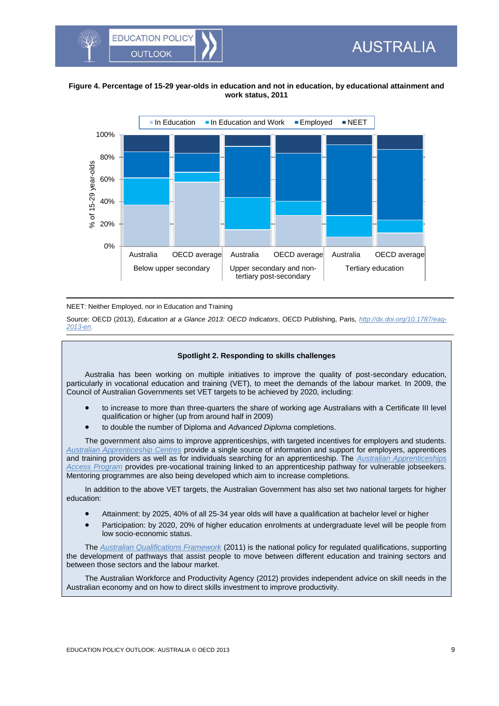<span id="page-8-0"></span>

### **Figure 4. Percentage of 15-29 year-olds in education and not in education, by educational attainment and work status, 2011**



NEET: Neither Employed, nor in Education and Training

Source: OECD (2013), *Education at a Glance 2013: OECD Indicators*, OECD Publishing, Paris, *[http://dx.doi.org/10.1787/eag-](http://dx.doi.org/10.1787/eag-2013-en)[2013-en](http://dx.doi.org/10.1787/eag-2013-en)*.

## **Spotlight 2. Responding to skills challenges**

Australia has been working on multiple initiatives to improve the quality of post-secondary education, particularly in vocational education and training (VET), to meet the demands of the labour market. In 2009, the Council of Australian Governments set VET targets to be achieved by 2020, including:

- to increase to more than three-quarters the share of working age Australians with a Certificate III level qualification or higher (up from around half in 2009)
- to double the number of Diploma and *Advanced Diploma* completions.

The government also aims to improve apprenticeships, with targeted incentives for employers and students. *[Australian Apprenticeship Centres](http://www.australianapprenticeships.gov.au/Aus_App_Centres/Overview.asp)* provide a single source of information and support for employers, apprentices and training providers as well as for individuals searching for an apprenticeship. The *[Australian Apprenticeships](http://www.innovation.gov.au/Skills/PreVocational/AustralianApprenticeshipsAccessProgram/Pages/Overview.aspx)  [Access Program](http://www.innovation.gov.au/Skills/PreVocational/AustralianApprenticeshipsAccessProgram/Pages/Overview.aspx)* provides pre-vocational training linked to an apprenticeship pathway for vulnerable jobseekers. Mentoring programmes are also being developed which aim to increase completions.

In addition to the above VET targets, the Australian Government has also set two national targets for higher education:

- Attainment: by 2025, 40% of all 25-34 year olds will have a qualification at bachelor level or higher
- Participation: by 2020, 20% of higher education enrolments at undergraduate level will be people from low socio-economic status.

The *[Australian Qualifications Framework](http://www.aqf.edu.au/)* (2011) is the national policy for regulated qualifications, supporting the development of pathways that assist people to move between different education and training sectors and between those sectors and the labour market.

The Australian Workforce and Productivity Agency (2012) provides independent advice on skill needs in the Australian economy and on how to direct skills investment to improve productivity.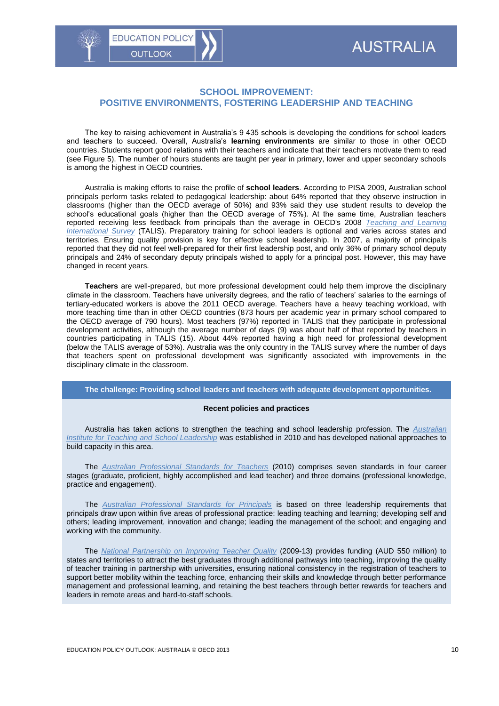

## <span id="page-9-0"></span>**SCHOOL IMPROVEMENT: POSITIVE ENVIRONMENTS, FOSTERING LEADERSHIP AND TEACHING**

The key to raising achievement in Australia's 9 435 schools is developing the conditions for school leaders and teachers to succeed. Overall, Australia's **learning environments** are similar to those in other OECD countries. Students report good relations with their teachers and indicate that their teachers motivate them to read (see Figure 5). The number of hours students are taught per year in primary, lower and upper secondary schools is among the highest in OECD countries.

Australia is making efforts to raise the profile of **school leaders**. According to PISA 2009, Australian school principals perform tasks related to pedagogical leadership: about 64% reported that they observe instruction in classrooms (higher than the OECD average of 50%) and 93% said they use student results to develop the school's educational goals (higher than the OECD average of 75%). At the same time, Australian teachers reported receiving less feedback from principals than the average in OECD's 2008 *[Teaching and Learning](http://www.oecd.org/edu/talis)  [International Survey](http://www.oecd.org/edu/talis)* (TALIS). Preparatory training for school leaders is optional and varies across states and territories. Ensuring quality provision is key for effective school leadership. In 2007, a majority of principals reported that they did not feel well-prepared for their first leadership post, and only 36% of primary school deputy principals and 24% of secondary deputy principals wished to apply for a principal post. However, this may have changed in recent years.

**Teachers** are well-prepared, but more professional development could help them improve the disciplinary climate in the classroom. Teachers have university degrees, and the ratio of teachers' salaries to the earnings of tertiary-educated workers is above the 2011 OECD average. Teachers have a heavy teaching workload, with more teaching time than in other OECD countries (873 hours per academic year in primary school compared to the OECD average of 790 hours). Most teachers (97%) reported in TALIS that they participate in professional development activities, although the average number of days (9) was about half of that reported by teachers in countries participating in TALIS (15). About 44% reported having a high need for professional development (below the TALIS average of 53%). Australia was the only country in the TALIS survey where the number of days that teachers spent on professional development was significantly associated with improvements in the disciplinary climate in the classroom.

**The challenge: Providing school leaders and teachers with adequate development opportunities.**

#### **Recent policies and practices**

Australia has taken actions to strengthen the teaching and school leadership profession. The *[Australian](http://www.aitsl.edu.au/)  [Institute for Teaching and School Leadership](http://www.aitsl.edu.au/)* was established in 2010 and has developed national approaches to build capacity in this area.

The *Australian [Professional Standards for Teachers](http://www.teacherstandards.aitsl.edu.au/Standards/Overview)* (2010) comprises seven standards in four career stages (graduate, proficient, highly accomplished and lead teacher) and three domains (professional knowledge, practice and engagement).

The *[Australian Professional Standards for Principals](http://www.aitsl.edu.au/verve/_resources/Australian_Professional_Standards_for_Principals.pdf)* is based on three leadership requirements that principals draw upon within five areas of professional practice: leading teaching and learning; developing self and others; leading improvement, innovation and change; leading the management of the school; and engaging and working with the community.

The *[National Partnership on Improving Teacher Quality](http://smarterschools.gov.au/improve-teacher-quality)* (2009-13) provides funding (AUD 550 million) to states and territories to attract the best graduates through additional pathways into teaching, improving the quality of teacher training in partnership with universities, ensuring national consistency in the registration of teachers to support better mobility within the teaching force, enhancing their skills and knowledge through better performance management and professional learning, and retaining the best teachers through better rewards for teachers and leaders in remote areas and hard-to-staff schools.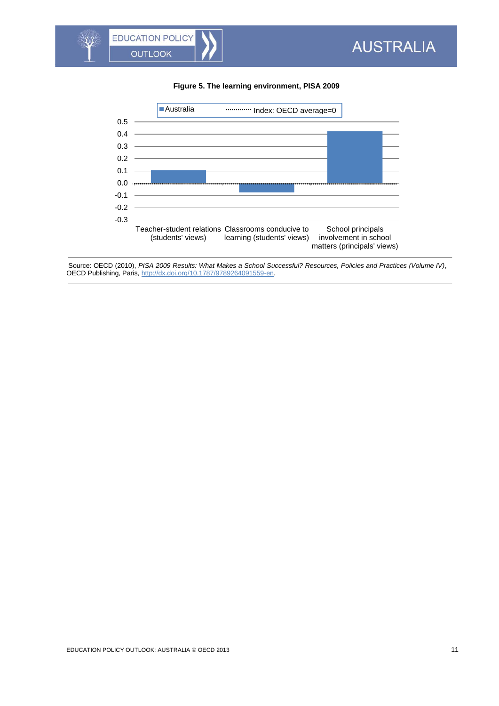## <span id="page-10-0"></span>**Figure 5. The learning environment, PISA 2009**



Source: OECD (2010), *PISA 2009 Results: What Makes a School Successful? Resources, Policies and Practices (Volume IV)*, OECD Publishing, Paris[, http://dx.doi.org/10.1787/9789264091559-en.](http://dx.doi.org/10.1787/9789264091559-en)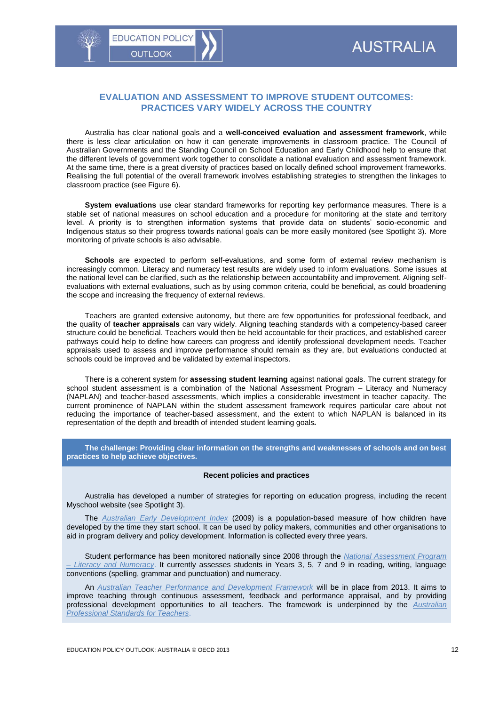**EDUCATION POLICY** 

<span id="page-11-0"></span>**OUTLOOK** 

Australia has clear national goals and a **well-conceived evaluation and assessment framework**, while there is less clear articulation on how it can generate improvements in classroom practice. The Council of Australian Governments and the Standing Council on School Education and Early Childhood help to ensure that the different levels of government work together to consolidate a national evaluation and assessment framework. At the same time, there is a great diversity of practices based on locally defined school improvement frameworks. Realising the full potential of the overall framework involves establishing strategies to strengthen the linkages to classroom practice (see Figure 6).

**System evaluations** use clear standard frameworks for reporting key performance measures. There is a stable set of national measures on school education and a procedure for monitoring at the state and territory level. A priority is to strengthen information systems that provide data on students' socio-economic and Indigenous status so their progress towards national goals can be more easily monitored (see Spotlight 3). More monitoring of private schools is also advisable.

**Schools** are expected to perform self-evaluations, and some form of external review mechanism is increasingly common. Literacy and numeracy test results are widely used to inform evaluations. Some issues at the national level can be clarified, such as the relationship between accountability and improvement. Aligning selfevaluations with external evaluations, such as by using common criteria, could be beneficial, as could broadening the scope and increasing the frequency of external reviews.

Teachers are granted extensive autonomy, but there are few opportunities for professional feedback, and the quality of **teacher appraisals** can vary widely. Aligning teaching standards with a competency-based career structure could be beneficial. Teachers would then be held accountable for their practices, and established career pathways could help to define how careers can progress and identify professional development needs. Teacher appraisals used to assess and improve performance should remain as they are, but evaluations conducted at schools could be improved and be validated by external inspectors.

There is a coherent system for **assessing student learning** against national goals. The current strategy for school student assessment is a combination of the National Assessment Program – Literacy and Numeracy (NAPLAN) and teacher-based assessments, which implies a considerable investment in teacher capacity. The current prominence of NAPLAN within the student assessment framework requires particular care about not reducing the importance of teacher-based assessment, and the extent to which NAPLAN is balanced in its representation of the depth and breadth of intended student learning goals*.*

**The challenge: Providing clear information on the strengths and weaknesses of schools and on best practices to help achieve objectives.**

### **Recent policies and practices**

Australia has developed a number of strategies for reporting on education progress, including the recent Myschool website (see Spotlight 3).

The *[Australian Early Development Index](http://ww2.rch.org.au/aedi)* (2009) is a population-based measure of how children have developed by the time they start school. It can be used by policy makers, communities and other organisations to aid in program delivery and policy development. Information is collected every three years.

Student performance has been monitored nationally since 2008 through the *[National Assessment Program](http://www.nap.edu.au/naplan/naplan.html)  – [Literacy and Numeracy](http://www.nap.edu.au/naplan/naplan.html)*. It currently assesses students in Years 3, 5, 7 and 9 in reading, writing, language conventions (spelling, grammar and punctuation) and numeracy.

An *[Australian Teacher Performance and Development Framework](http://www.aitsl.edu.au/teachers/performance-and-development.html)* will be in place from 2013. It aims to improve teaching through continuous assessment, feedback and performance appraisal, and by providing professional development opportunities to all teachers. The framework is underpinned by the *[Australian](http://www.teacherstandards.aitsl.edu.au/)  [Professional Standards for Teachers](http://www.teacherstandards.aitsl.edu.au/)*.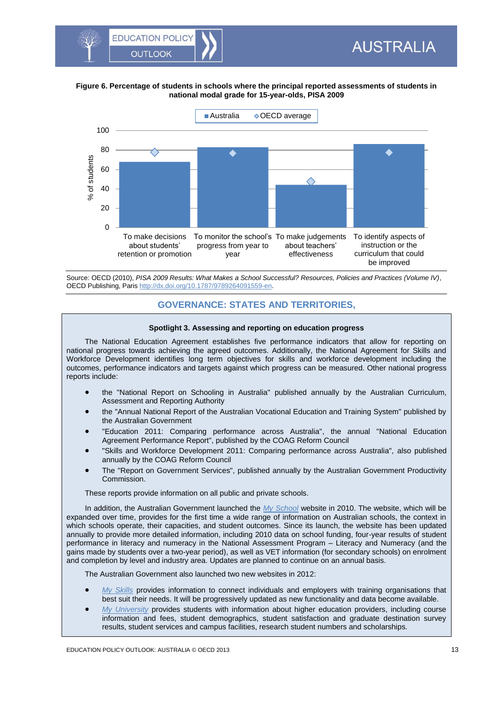### **Figure 6. Percentage of students in schools where the principal reported assessments of students in national modal grade for 15-year-olds, PISA 2009**

<span id="page-12-1"></span>

Source: OECD (2010), *PISA 2009 Results: What Makes a School Successful? Resources, Policies and Practices (Volume IV)*, OECD Publishing, Pari[s http://dx.doi.org/10.1787/9789264091559-en.](http://dx.doi.org/10.1787/9789264091559-en)

# <span id="page-12-0"></span>**GOVERNANCE: STATES AND TERRITORIES,**

## **Spotlight 3. Assessing and reporting on education progress**

The National Education Agreement establishes five performance indicators that allow for reporting on national progress towards achieving the agreed outcomes. Additionally, the National Agreement for Skills and Workforce Development identifies long term objectives for skills and workforce development including the outcomes, performance indicators and targets against which progress can be measured. Other national progress reports include:

- the "National Report on Schooling in Australia" published annually by the Australian Curriculum, Assessment and Reporting Authority
- the "Annual National Report of the Australian Vocational Education and Training System" published by the Australian Government
- "Education 2011: Comparing performance across Australia", the annual "National Education Agreement Performance Report", published by the COAG Reform Council
- "Skills and Workforce Development 2011: Comparing performance across Australia"*,* also published annually by the COAG Reform Council
- The "Report on Government Services", published annually by the Australian Government Productivity Commission.

These reports provide information on all public and private schools.

In addition, the Australian Government launched the *[My School](http://www.myschool.edu.au/)* website in 2010. The website, which will be expanded over time, provides for the first time a wide range of information on Australian schools, the context in which schools operate, their capacities, and student outcomes. Since its launch, the website has been updated annually to provide more detailed information, including 2010 data on school funding, four-year results of student performance in literacy and numeracy in the National Assessment Program – Literacy and Numeracy (and the gains made by students over a two-year period), as well as VET information (for secondary schools) on enrolment and completion by level and industry area. Updates are planned to continue on an annual basis.

The Australian Government also launched two new websites in 2012:

- *[My Skills](http://www.myskills.gov.au/)* provides information to connect individuals and employers with training organisations that best suit their needs. It will be progressively updated as new functionality and data become available.
- *[My University](http://myuniversity.gov.au/)* provides students with information about higher education providers, including course information and fees, student demographics, student satisfaction and graduate destination survey results, student services and campus facilities, research student numbers and scholarships.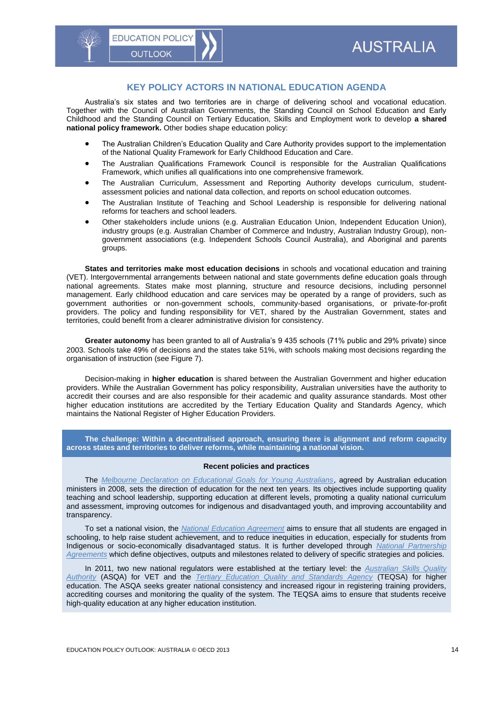## **KEY POLICY ACTORS IN NATIONAL EDUCATION AGENDA**

Australia's six states and two territories are in charge of delivering school and vocational education. Together with the Council of Australian Governments, the Standing Council on School Education and Early Childhood and the Standing Council on Tertiary Education, Skills and Employment work to develop **a shared national policy framework.** Other bodies shape education policy:

- The Australian Children's Education Quality and Care Authority provides support to the implementation of the National Quality Framework for Early Childhood Education and Care.
- The Australian Qualifications Framework Council is responsible for the Australian Qualifications Framework, which unifies all qualifications into one comprehensive framework.
- The Australian Curriculum, Assessment and Reporting Authority develops curriculum, studentassessment policies and national data collection, and reports on school education outcomes.
- The Australian Institute of Teaching and School Leadership is responsible for delivering national reforms for teachers and school leaders.
- Other stakeholders include unions (e.g. Australian Education Union, Independent Education Union), industry groups (e.g. Australian Chamber of Commerce and Industry, Australian Industry Group), nongovernment associations (e.g. Independent Schools Council Australia), and Aboriginal and parents groups.

**States and territories make most education decisions** in schools and vocational education and training (VET). Intergovernmental arrangements between national and state governments define education goals through national agreements. States make most planning, structure and resource decisions, including personnel management. Early childhood education and care services may be operated by a range of providers, such as government authorities or non-government schools, community-based organisations, or private-for-profit providers. The policy and funding responsibility for VET, shared by the Australian Government, states and territories, could benefit from a clearer administrative division for consistency.

**Greater autonomy** has been granted to all of Australia's 9 435 schools (71% public and 29% private) since 2003. Schools take 49% of decisions and the states take 51%, with schools making most decisions regarding the organisation of instruction (see Figure 7).

Decision-making in **higher education** is shared between the Australian Government and higher education providers. While the Australian Government has policy responsibility, Australian universities have the authority to accredit their courses and are also responsible for their academic and quality assurance standards. Most other higher education institutions are accredited by the Tertiary Education Quality and Standards Agency, which maintains the National Register of Higher Education Providers.

**The challenge: Within a decentralised approach, ensuring there is alignment and reform capacity across states and territories to deliver reforms, while maintaining a national vision.**

### **Recent policies and practices**

The *[Melbourne Declaration on Educational Goals for Young Australians](http://www.mceecdya.edu.au/verve/_resources/National_Declaration_on_the_Educational_Goals_for_Young_Australians.pdf)*, agreed by Australian education ministers in 2008, sets the direction of education for the next ten years. Its objectives include supporting quality teaching and school leadership, supporting education at different levels, promoting a quality national curriculum and assessment, improving outcomes for indigenous and disadvantaged youth, and improving accountability and transparency.

To set a national vision, the *[National Education Agreement](http://www.federalfinancialrelations.gov.au/content/npa/education/national-agreement.pdf)* aims to ensure that all students are engaged in schooling, to help raise student achievement, and to reduce inequities in education, especially for students from Indigenous or socio-economically disadvantaged status. It is further developed through *[National Partnership](http://www.coag.gov.au/the_federal_financial_relations_framework#Agreement%20Types)  [Agreements](http://www.coag.gov.au/the_federal_financial_relations_framework#Agreement%20Types)* which define objectives, outputs and milestones related to delivery of specific strategies and policies.

In 2011, two new national regulators were established at the tertiary level: the *[Australian Skills Quality](http://www.asqa.gov.au/)  [Authority](http://www.asqa.gov.au/)* (ASQA) for VET and the *[Tertiary Education Quality and Standards Agency](http://www.teqsa.gov.au/)* (TEQSA) for higher education. The ASQA seeks greater national consistency and increased rigour in registering training providers, accrediting courses and monitoring the quality of the system. The TEQSA aims to ensure that students receive high-quality education at any higher education institution.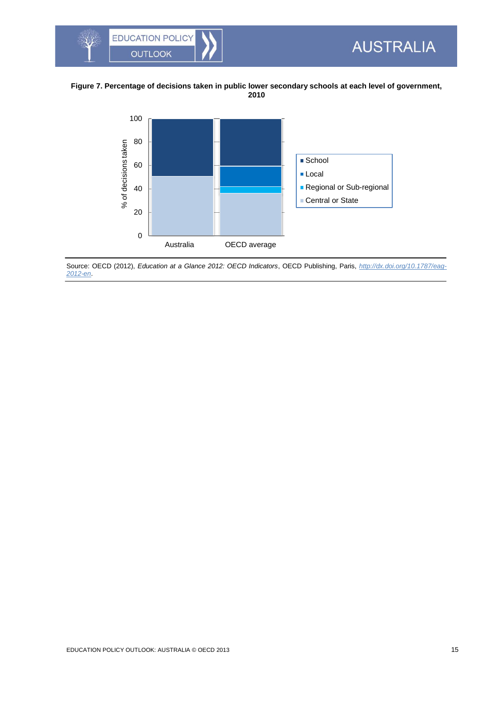

## **Figure 7. Percentage of decisions taken in public lower secondary schools at each level of government, 2010**

<span id="page-14-0"></span>**AUSTRALIA** 



Source: OECD (2012), *Education at a Glance 2012: OECD Indicators*, OECD Publishing, Paris, *[http://dx.doi.org/10.1787/eag-](http://dx.doi.org/10.1787/eag-2012-en)[2012-en](http://dx.doi.org/10.1787/eag-2012-en)*.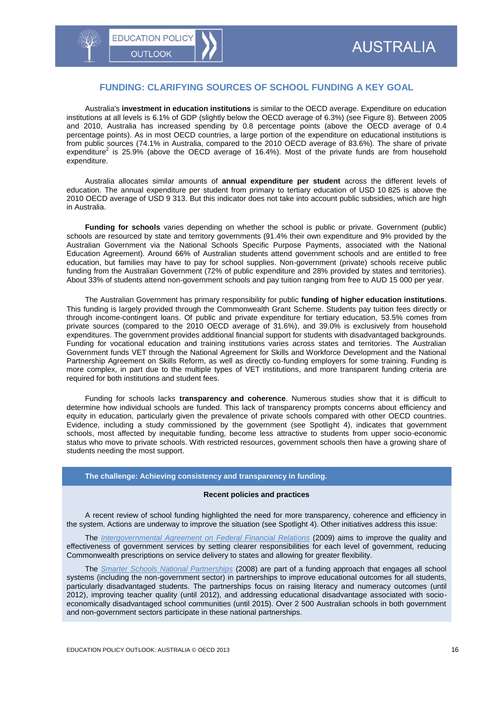## <span id="page-15-0"></span>**FUNDING: CLARIFYING SOURCES OF SCHOOL FUNDING A KEY GOAL**

Australia's **investment in education institutions** is similar to the OECD average. Expenditure on education institutions at all levels is 6.1% of GDP (slightly below the OECD average of 6.3%) (see Figure 8). Between 2005 and 2010, Australia has increased spending by 0.8 percentage points (above the OECD average of 0.4 percentage points). As in most OECD countries, a large portion of the expenditure on educational institutions is from public sources (74.1% in Australia, compared to the 2010 OECD average of 83.6%). The share of private expenditure<sup>2</sup> is 25.9% (above the OECD average of 16.4%). Most of the private funds are from household expenditure.

Australia allocates similar amounts of **annual expenditure per student** across the different levels of education. The annual expenditure per student from primary to tertiary education of USD 10 825 is above the 2010 OECD average of USD 9 313. But this indicator does not take into account public subsidies, which are high in Australia.

**Funding for schools** varies depending on whether the school is public or private. Government (public) schools are resourced by state and territory governments (91.4% their own expenditure and 9% provided by the Australian Government via the National Schools Specific Purpose Payments, associated with the National Education Agreement). Around 66% of Australian students attend government schools and are entitled to free education, but families may have to pay for school supplies. Non-government (private) schools receive public funding from the Australian Government (72% of public expenditure and 28% provided by states and territories). About 33% of students attend non-government schools and pay tuition ranging from free to AUD 15 000 per year.

The Australian Government has primary responsibility for public **funding of higher education institutions**. This funding is largely provided through the Commonwealth Grant Scheme. Students pay tuition fees directly or through income-contingent loans. Of public and private expenditure for tertiary education, 53.5% comes from private sources (compared to the 2010 OECD average of 31.6%), and 39.0% is exclusively from household expenditures. The government provides additional financial support for students with disadvantaged backgrounds. Funding for vocational education and training institutions varies across states and territories. The Australian Government funds VET through the National Agreement for Skills and Workforce Development and the National Partnership Agreement on Skills Reform, as well as directly co-funding employers for some training. Funding is more complex, in part due to the multiple types of VET institutions, and more transparent funding criteria are required for both institutions and student fees.

Funding for schools lacks **transparency and coherence**. Numerous studies show that it is difficult to determine how individual schools are funded. This lack of transparency prompts concerns about efficiency and equity in education, particularly given the prevalence of private schools compared with other OECD countries. Evidence, including a study commissioned by the government (see Spotlight 4), indicates that government schools, most affected by inequitable funding, become less attractive to students from upper socio-economic status who move to private schools. With restricted resources, government schools then have a growing share of students needing the most support.

**The challenge: Achieving consistency and transparency in funding.**

### **Recent policies and practices**

A recent review of school funding highlighted the need for more transparency, coherence and efficiency in the system. Actions are underway to improve the situation (see Spotlight 4). Other initiatives address this issue:

The *[Intergovernmental Agreement on Federal Financial Relations](http://www.federalfinancialrelations.gov.au/content/intergovernmental_agreements.aspx)* (2009) aims to improve the quality and effectiveness of government services by setting clearer responsibilities for each level of government, reducing Commonwealth prescriptions on service delivery to states and allowing for greater flexibility.

The *[Smarter Schools National Partnerships](http://smarterschools.gov.au/)* (2008) are part of a funding approach that engages all school systems (including the non-government sector) in partnerships to improve educational outcomes for all students, particularly disadvantaged students. The partnerships focus on raising literacy and numeracy outcomes (until 2012), improving teacher quality (until 2012), and addressing educational disadvantage associated with socioeconomically disadvantaged school communities (until 2015). Over 2 500 Australian schools in both government and non-government sectors participate in these national partnerships.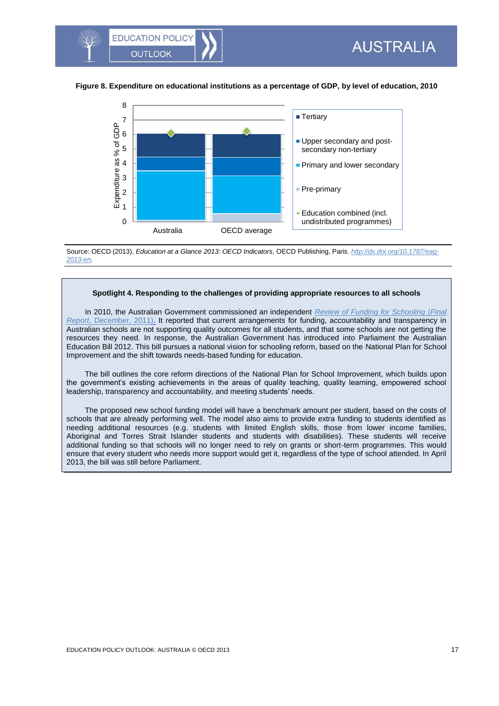## **Figure 8. Expenditure on educational institutions as a percentage of GDP, by level of education, 2010**

<span id="page-16-0"></span>

Source: OECD (2013), *Education at a Glance 2013: OECD Indicators*, OECD Publishing, Paris, *[http://dx.doi.org/10.1787/eag-](http://dx.doi.org/10.1787/eag-2013-en)[2013-en.](http://dx.doi.org/10.1787/eag-2013-en)*

### **Spotlight 4. Responding to the challenges of providing appropriate resources to all schools**

In 2010, the Australian Government commissioned an independent *[Review of Funding for Schooling](http://foi.deewr.gov.au/documents/review-funding-schooling-final-report-december-2011)* (*Final Report*[, December, 2011\).](http://foi.deewr.gov.au/documents/review-funding-schooling-final-report-december-2011) It reported that current arrangements for funding, accountability and transparency in Australian schools are not supporting quality outcomes for all students, and that some schools are not getting the resources they need. In response, the Australian Government has introduced into Parliament the Australian Education Bill 2012. This bill pursues a national vision for schooling reform, based on the National Plan for School Improvement and the shift towards needs-based funding for education.

The bill outlines the core reform directions of the National Plan for School Improvement, which builds upon the government's existing achievements in the areas of quality teaching, quality learning, empowered school leadership, transparency and accountability, and meeting students' needs.

The proposed new school funding model will have a benchmark amount per student, based on the costs of schools that are already performing well. The model also aims to provide extra funding to students identified as needing additional resources (e.g. students with limited English skills, those from lower income families, Aboriginal and Torres Strait Islander students and students with disabilities). These students will receive additional funding so that schools will no longer need to rely on grants or short-term programmes. This would ensure that every student who needs more support would get it, regardless of the type of school attended. In April 2013, the bill was still before Parliament.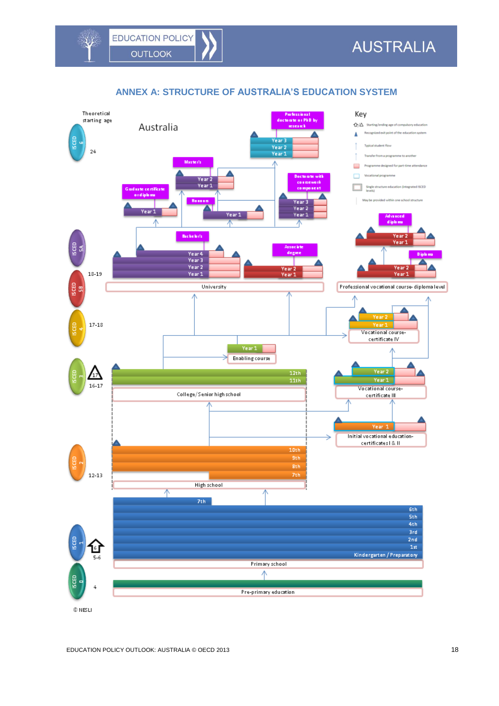XX

# **ANNEX A: STRUCTURE OF AUSTRALIA'S EDUCATION SYSTEM**

<span id="page-17-0"></span>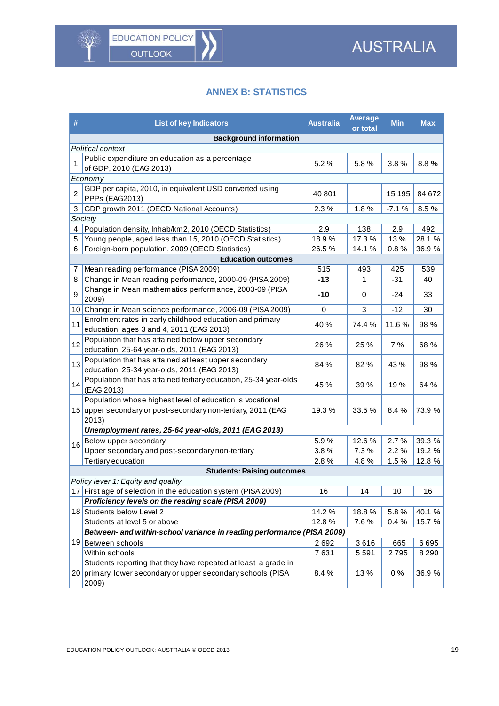$\sqrt[3]{r}$ 

# **ANNEX B: STATISTICS**

<span id="page-18-0"></span>

| #  | <b>List of key Indicators</b>                                                                                                      | <b>Australia</b> | <b>Average</b><br>or total | <b>Min</b> | <b>Max</b> |
|----|------------------------------------------------------------------------------------------------------------------------------------|------------------|----------------------------|------------|------------|
|    | <b>Background information</b>                                                                                                      |                  |                            |            |            |
|    | Political context                                                                                                                  |                  |                            |            |            |
| 1  | Public expenditure on education as a percentage<br>of GDP, 2010 (EAG 2013)                                                         | 5.2%             | 5.8%                       | 3.8%       | 8.8%       |
|    | Economy                                                                                                                            |                  |                            |            |            |
|    | GDP per capita, 2010, in equivalent USD converted using                                                                            |                  |                            |            |            |
| 2  | PPPs (EAG2013)                                                                                                                     | 40 801           |                            | 15 195     | 84 672     |
| 3  | GDP growth 2011 (OECD National Accounts)                                                                                           | 2.3%             | 1.8%                       | $-7.1%$    | 8.5 %      |
|    | Society                                                                                                                            |                  |                            |            |            |
| 4  | Population density, Inhab/km2, 2010 (OECD Statistics)                                                                              | 2.9              | 138                        | 2.9        | 492        |
| 5  | Young people, aged less than 15, 2010 (OECD Statistics)                                                                            | 18.9%            | 17.3%                      | 13%        | 28.1%      |
| 6  | Foreign-born population, 2009 (OECD Statistics)                                                                                    | 26.5%            | 14.1 %                     | 0.8%       | 36.9%      |
|    | <b>Education outcomes</b>                                                                                                          |                  |                            |            |            |
| 7  | Mean reading performance (PISA 2009)                                                                                               | 515              | 493                        | 425        | 539        |
| 8  | Change in Mean reading performance, 2000-09 (PISA 2009)                                                                            | $-13$            | 1                          | $-31$      | 40         |
| 9  | Change in Mean mathematics performance, 2003-09 (PISA<br>2009)                                                                     | -10              | 0                          | $-24$      | 33         |
|    | 10 Change in Mean science performance, 2006-09 (PISA 2009)                                                                         | $\mathbf 0$      | 3                          | $-12$      | 30         |
| 11 | Enrolment rates in early childhood education and primary<br>education, ages 3 and 4, 2011 (EAG 2013)                               | 40 %             | 74.4 %                     | 11.6%      | 98 %       |
| 12 | Population that has attained below upper secondary<br>education, 25-64 year-olds, 2011 (EAG 2013)                                  | 26 %             | 25 %                       | 7 %        | 68 %       |
| 13 | Population that has attained at least upper secondary                                                                              | 84 %             | 82%                        | 43 %       | 98 %       |
| 14 | education, 25-34 year-olds, 2011 (EAG 2013)<br>Population that has attained tertiary education, 25-34 year-olds                    | 45 %             | 39 %                       | 19 %       | 64 %       |
|    | (EAG 2013)                                                                                                                         |                  |                            |            |            |
|    | Population whose highest level of education is vocational<br>15 upper secondary or post-secondary non-tertiary, 2011 (EAG<br>2013) | 19.3 %           | 33.5 %                     | 8.4 %      | 73.9 %     |
|    | Unemployment rates, 25-64 year-olds, 2011 (EAG 2013)                                                                               |                  |                            |            |            |
|    | Below upper secondary                                                                                                              | 5.9%             | 12.6%                      | 2.7%       | 39.3%      |
| 16 | Upper secondary and post-secondary non-tertiary                                                                                    | 3.8%             | 7.3%                       | 2.2%       | 19.2 %     |
|    | Tertiary education                                                                                                                 | 2.8%             | 4.8%                       | 1.5%       | 12.8%      |
|    | <b>Students: Raising outcomes</b>                                                                                                  |                  |                            |            |            |
|    | Policy lever 1: Equity and quality                                                                                                 |                  |                            |            |            |
|    | 17 First age of selection in the education system (PISA 2009)                                                                      | 16               | 14                         | $10$       | 16         |
|    | Proficiency levels on the reading scale (PISA 2009)                                                                                |                  |                            |            |            |
|    | 18 Students below Level 2                                                                                                          | 14.2 %           | 18.8%                      | 5.8%       | 40.1 %     |
|    | Students at level 5 or above                                                                                                       | 12.8%            | 7.6%                       | 0.4%       | 15.7 %     |
|    | Between- and within-school variance in reading performance (PISA 2009)                                                             |                  |                            |            |            |
|    | 19 Between schools                                                                                                                 | 2692             | 3616                       | 665        | 6695       |
|    | Within schools                                                                                                                     | 7631             | 5591                       | 2795       | 8 2 9 0    |
|    | Students reporting that they have repeated at least a grade in                                                                     |                  |                            |            |            |
|    | 20 primary, lower secondary or upper secondary schools (PISA<br>2009)                                                              | 8.4%             | 13%                        | $0\%$      | 36.9%      |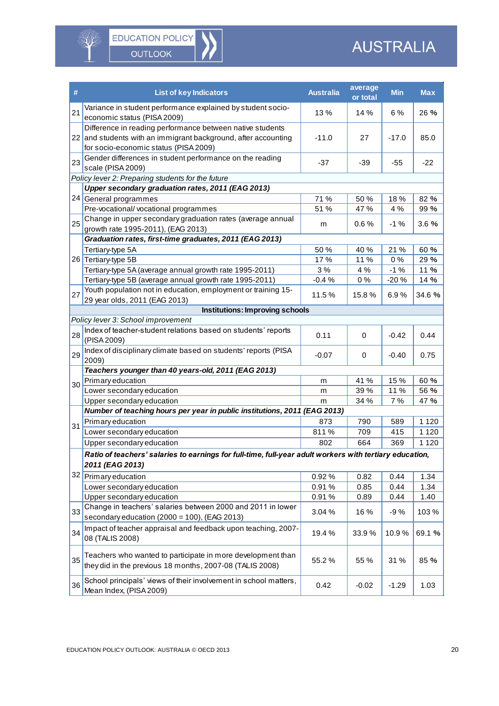

| #  | <b>List of key Indicators</b>                                                                                                                                        | <b>Australia</b>                                                                                                                                                                                                                                                                                                                                                                                   | average<br>or total | <b>Min</b>                                                         | <b>Max</b>           |
|----|----------------------------------------------------------------------------------------------------------------------------------------------------------------------|----------------------------------------------------------------------------------------------------------------------------------------------------------------------------------------------------------------------------------------------------------------------------------------------------------------------------------------------------------------------------------------------------|---------------------|--------------------------------------------------------------------|----------------------|
| 21 | Variance in student performance explained by student socio-<br>economic status (PISA 2009)                                                                           | 13%                                                                                                                                                                                                                                                                                                                                                                                                | 14 %                | 6 %                                                                | 26 %                 |
|    | Difference in reading performance between native students<br>22 and students with an immigrant background, after accounting<br>for socio-economic status (PISA 2009) | $-11.0$                                                                                                                                                                                                                                                                                                                                                                                            | 27                  | $-17.0$                                                            | 85.0                 |
| 23 | Gender differences in student performance on the reading<br>scale (PISA 2009)                                                                                        | $-37$                                                                                                                                                                                                                                                                                                                                                                                              | $-39$               | $-55$                                                              | $-22$                |
|    | Policy lever 2: Preparing students for the future                                                                                                                    |                                                                                                                                                                                                                                                                                                                                                                                                    |                     |                                                                    |                      |
|    | Upper secondary graduation rates, 2011 (EAG 2013)                                                                                                                    |                                                                                                                                                                                                                                                                                                                                                                                                    |                     |                                                                    |                      |
|    | 24 General programmes                                                                                                                                                | 71 %                                                                                                                                                                                                                                                                                                                                                                                               | 50 %                | 18%                                                                | 82 %                 |
|    | Pre-vocational/vocational programmes                                                                                                                                 | 51 %                                                                                                                                                                                                                                                                                                                                                                                               | 47 %                | 4 %                                                                |                      |
| 25 | growth rate 1995-2011), (EAG 2013)                                                                                                                                   | m                                                                                                                                                                                                                                                                                                                                                                                                  | 0.6%                | $-1%$                                                              | 3.6 %                |
|    | Graduation rates, first-time graduates, 2011 (EAG 2013)                                                                                                              |                                                                                                                                                                                                                                                                                                                                                                                                    |                     |                                                                    |                      |
|    | Tertiary-type 5A                                                                                                                                                     | Change in upper secondary graduation rates (average annual<br>40 %<br>21 %<br>60 %<br>50 %<br>17%<br>11 %<br>0%<br>29 %<br>3%<br>4 %<br>$-1%$<br>11 %<br>Tertiary-type 5B (average annual growth rate 1995-2011)<br>$-0.4%$<br>0%<br>$-20%$<br>14 %<br>Youth population not in education, employment or training 15-<br>11.5%<br>15.8%<br>6.9%<br>34.6 %<br><b>Institutions: Improving schools</b> |                     |                                                                    |                      |
| 27 | 26 Tertiary-type 5B                                                                                                                                                  |                                                                                                                                                                                                                                                                                                                                                                                                    |                     |                                                                    |                      |
|    | Tertiary-type 5A (average annual growth rate 1995-2011)                                                                                                              |                                                                                                                                                                                                                                                                                                                                                                                                    |                     |                                                                    | 99 %<br>0.44<br>0.75 |
|    |                                                                                                                                                                      |                                                                                                                                                                                                                                                                                                                                                                                                    |                     |                                                                    |                      |
|    | 29 year olds, 2011 (EAG 2013)                                                                                                                                        |                                                                                                                                                                                                                                                                                                                                                                                                    |                     |                                                                    |                      |
|    |                                                                                                                                                                      |                                                                                                                                                                                                                                                                                                                                                                                                    |                     |                                                                    |                      |
|    | Policy lever 3: School improvement                                                                                                                                   |                                                                                                                                                                                                                                                                                                                                                                                                    |                     |                                                                    |                      |
| 28 | Index of teacher-student relations based on students' reports<br>(PISA 2009)                                                                                         | 0.11                                                                                                                                                                                                                                                                                                                                                                                               | 0                   | $-0.42$                                                            |                      |
| 29 | Index of disciplinary climate based on students' reports (PISA<br>2009)                                                                                              | $-0.07$                                                                                                                                                                                                                                                                                                                                                                                            | 0                   | $-0.40$                                                            |                      |
|    | Teachers younger than 40 years-old, 2011 (EAG 2013)                                                                                                                  |                                                                                                                                                                                                                                                                                                                                                                                                    |                     |                                                                    |                      |
| 30 | Primary education                                                                                                                                                    | m                                                                                                                                                                                                                                                                                                                                                                                                  | 41 %                | 15 %                                                               | 60 %                 |
|    | Lower secondary education                                                                                                                                            | m                                                                                                                                                                                                                                                                                                                                                                                                  | 39 %                | 11 %                                                               | 56 %                 |
|    | Upper secondary education                                                                                                                                            | m                                                                                                                                                                                                                                                                                                                                                                                                  | 34 %                | 7 %                                                                | 47 %                 |
|    | Number of teaching hours per year in public institutions, 2011 (EAG 2013)                                                                                            |                                                                                                                                                                                                                                                                                                                                                                                                    |                     |                                                                    |                      |
| 31 | Primary education                                                                                                                                                    | 873                                                                                                                                                                                                                                                                                                                                                                                                | 790                 |                                                                    |                      |
|    | Lower secondary education                                                                                                                                            | 811%                                                                                                                                                                                                                                                                                                                                                                                               | 709                 |                                                                    |                      |
|    | Upper secondary education                                                                                                                                            | 802                                                                                                                                                                                                                                                                                                                                                                                                | 664                 |                                                                    |                      |
|    | Ratio of teachers' salaries to earnings for full-time, full-year adult workers with tertiary education,<br>2011 (EAG 2013)                                           |                                                                                                                                                                                                                                                                                                                                                                                                    |                     |                                                                    |                      |
|    | 32 Primary education                                                                                                                                                 | 0.92%                                                                                                                                                                                                                                                                                                                                                                                              | 0.82                | 1 1 2 0<br>589<br>415<br>1 1 2 0<br>369<br>1 1 2 0<br>1.34<br>0.44 |                      |
|    | Lower secondary education                                                                                                                                            | 0.91%                                                                                                                                                                                                                                                                                                                                                                                              | 0.85                | 0.44                                                               | 1.34                 |
|    | Upper secondary education                                                                                                                                            | 0.91%                                                                                                                                                                                                                                                                                                                                                                                              | 0.89                | 0.44                                                               | 1.40                 |
| 33 | Change in teachers' salaries between 2000 and 2011 in lower<br>secondary education (2000 = 100), (EAG 2013)                                                          | 3.04 %                                                                                                                                                                                                                                                                                                                                                                                             | 16 %                | $-9%$                                                              | 103%                 |
| 34 | Impact of teacher appraisal and feedback upon teaching, 2007-<br>08 (TALIS 2008)                                                                                     | 19.4%                                                                                                                                                                                                                                                                                                                                                                                              | 33.9%               | 10.9%                                                              | 69.1 %               |
| 35 | Teachers who wanted to participate in more development than<br>they did in the previous 18 months, 2007-08 (TALIS 2008)                                              | 55.2%                                                                                                                                                                                                                                                                                                                                                                                              | 55 %                | 31 %                                                               | 85 %                 |
| 36 | School principals' views of their involvement in school matters,<br>Mean Index, (PISA 2009)                                                                          | 0.42                                                                                                                                                                                                                                                                                                                                                                                               | $-0.02$             | $-1.29$                                                            | 1.03                 |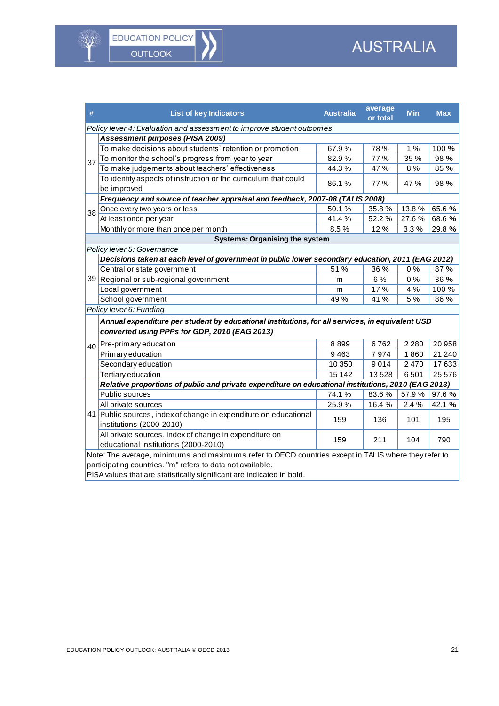$\sqrt[3]{r}$ 

|    | <b>List of key Indicators</b>                                                                                                                                      | <b>Australia</b> | average<br>or total | <b>Min</b> | <b>Max</b> |
|----|--------------------------------------------------------------------------------------------------------------------------------------------------------------------|------------------|---------------------|------------|------------|
|    | Policy lever 4: Evaluation and assessment to improve student outcomes                                                                                              |                  |                     |            |            |
|    | Assessment purposes (PISA 2009)                                                                                                                                    |                  |                     |            |            |
|    | To make decisions about students' retention or promotion                                                                                                           | 67.9%            | 78 %                | 1%         | 100 %      |
| 37 | To monitor the school's progress from year to year                                                                                                                 | 82.9%            | 77 %                | 35 %       | 98 %       |
|    | To make judgements about teachers' effectiveness                                                                                                                   | 44.3%            | 47 %                | 8 %        | 85 %       |
|    | To identify aspects of instruction or the curriculum that could<br>be improved                                                                                     | 86.1%            | 77 %                | 47 %       | 98 %       |
|    | Frequency and source of teacher appraisal and feedback, 2007-08 (TALIS 2008)                                                                                       |                  |                     |            |            |
|    | Once every two years or less                                                                                                                                       | 50.1%            | 35.8%               | 13.8%      | 65.6%      |
| 38 | At least once per year                                                                                                                                             | 41.4%            | 52.2%               | 27.6%      | 68.6%      |
|    | Monthly or more than once per month                                                                                                                                | 8.5%             | 12 %                | 3.3%       | 29.8%      |
|    | <b>Systems: Organising the system</b>                                                                                                                              |                  |                     |            |            |
|    | Policy lever 5: Governance                                                                                                                                         |                  |                     |            |            |
|    | Decisions taken at each level of government in public lower secondary education, 2011 (EAG 2012)                                                                   |                  |                     |            |            |
|    |                                                                                                                                                                    |                  |                     |            |            |
|    | Central or state government                                                                                                                                        | 51 %             | 36 %                | 0%         | 87 %       |
|    | 39 Regional or sub-regional government                                                                                                                             | m                | 6 %                 | 0%         | 36 %       |
|    | Local government                                                                                                                                                   | m                | 17%                 | 4 %        | 100 %      |
|    | School government                                                                                                                                                  | 49 %             | 41 %                | 5 %        | 86 %       |
|    | Policy lever 6: Funding                                                                                                                                            |                  |                     |            |            |
|    | Annual expenditure per student by educational Institutions, for all services, in equivalent USD<br>converted using PPPs for GDP, 2010 (EAG 2013)                   |                  |                     |            |            |
|    | 40 Pre-primary education                                                                                                                                           | 8899             | 6762                | 2 2 8 0    | 20 958     |
|    | Primary education                                                                                                                                                  | 9463             | 7974                | 1860       | 21 240     |
|    | Secondary education                                                                                                                                                | 10 350           | 9014                | 2470       | 17633      |
|    | Tertiary education                                                                                                                                                 | 15 142           | 13528               | 6501       | 25 576     |
|    | Relative proportions of public and private expenditure on educational institutions, 2010 (EAG 2013)                                                                |                  |                     |            |            |
|    | Public sources                                                                                                                                                     | 74.1%            | 83.6%               | 57.9%      | 97.6%      |
|    | All private sources                                                                                                                                                | 25.9%            | 16.4%               | 2.4 %      | 42.1 %     |
|    | 41 Public sources, index of change in expenditure on educational                                                                                                   |                  |                     |            |            |
|    | institutions (2000-2010)                                                                                                                                           | 159              | 136                 | 101        | 195        |
|    | All private sources, index of change in expenditure on<br>educational institutions (2000-2010)                                                                     | 159              | 211                 | 104        | 790        |
|    | Note: The average, minimums and maximums refer to OECD countries except in TALIS where they refer to<br>participating countries. "m" refers to data not available. |                  |                     |            |            |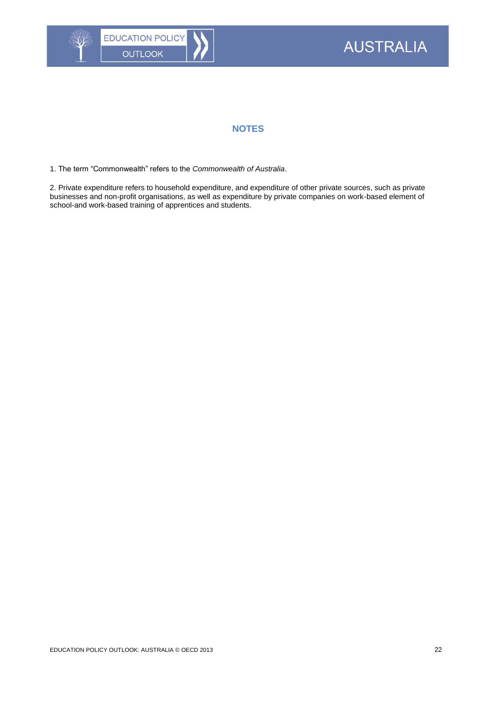

## **NOTES**

1. The term "Commonwealth" refers to the *Commonwealth of Australia*.

2. Private expenditure refers to household expenditure, and expenditure of other private sources, such as private businesses and non-profit organisations, as well as expenditure by private companies on work-based element of school-and work-based training of apprentices and students.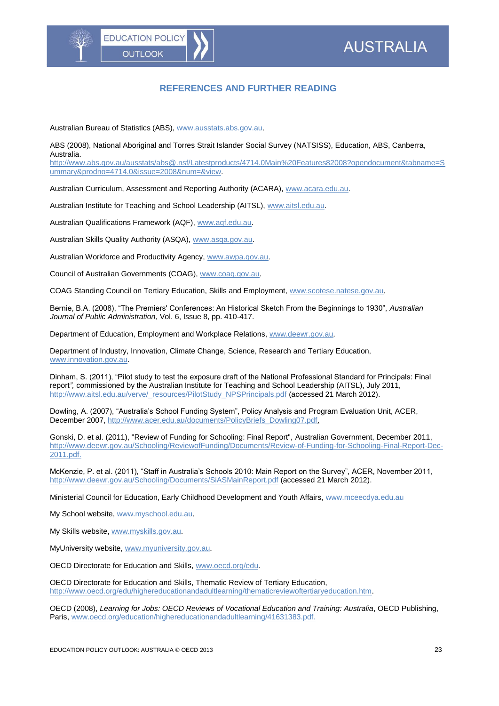## **REFERENCES AND FURTHER READING**

<span id="page-22-0"></span>Australian Bureau of Statistics (ABS), [www.ausstats.abs.gov.au](http://www.ausstats.abs.gov.au/).

**EDUCATION POLICY** 

**OUTLOOK** 

ABS (2008), National Aboriginal and Torres Strait Islander Social Survey (NATSISS), Education, ABS, Canberra, Australia.

[http://www.abs.gov.au/ausstats/abs@.nsf/Latestproducts/4714.0Main%20Features82008?opendocument&tabname=S](http://www.abs.gov.au/ausstats/abs@.nsf/Latestproducts/4714.0Main%20Features82008?opendocument&tabname=Summary&prodno=4714.0&issue=2008&num=&view) [ummary&prodno=4714.0&issue=2008&num=&view.](http://www.abs.gov.au/ausstats/abs@.nsf/Latestproducts/4714.0Main%20Features82008?opendocument&tabname=Summary&prodno=4714.0&issue=2008&num=&view)

Australian Curriculum, Assessment and Reporting Authority (ACARA), [www.acara.edu.au](http://www.acara.edu.au/).

Australian Institute for Teaching and School Leadership (AITSL), [www.aitsl.edu.au](http://www.aitsl.edu.au/).

Australian Qualifications Framework (AQF), [www.aqf.edu.au](http://www.aqf.edu.au/).

Australian Skills Quality Authority (ASQA), [www.asqa.gov.au](http://www.asqa.gov.au/).

Australian Workforce and Productivity Agency, [www.awpa.gov.au](http://www.awpa.gov.au/).

Council of Australian Governments (COAG)[, www.coag.gov.au](file:///C:/Users/copelandlord/Documents/3-Work2013/EDU2013/EdPolOut/Edits/AUS/www.coag.gov.au).

COAG Standing Council on Tertiary Education, Skills and Employment, [www.scotese.natese.gov.au](http://www.scotese.natese.gov.au/).

Bernie, B.A. (2008), "The Premiers' Conferences: An Historical Sketch From the Beginnings to 1930", *Australian Journal of Public Administration*, Vol. 6, Issue 8, pp. 410-417.

Department of Education, Employment and Workplace Relations, [www.deewr.gov.au](http://www.deewr.gov.au/).

Department of Industry, Innovation, Climate Change, Science, Research and Tertiary Education, [www.innovation.gov.au](http://www.innovation.gov.au/).

Dinham, S. (2011), "Pilot study to test the exposure draft of the National Professional Standard for Principals: Final report*",* commissioned by the Australian Institute for Teaching and School Leadership (AITSL), July 2011, [http://www.aitsl.edu.au/verve/\\_resources/PilotStudy\\_NPSPrincipals.pdf](http://www.aitsl.edu.au/verve/_resources/PilotStudy_NPSPrincipals.pdf) (accessed 21 March 2012).

Dowling, A. (2007), "Australia's School Funding System", Policy Analysis and Program Evaluation Unit, ACER, December 2007[, http://www.acer.edu.au/documents/PolicyBriefs\\_Dowling07.pdf.](http://www.acer.edu.au/documents/PolicyBriefs_Dowling07.pdf)

Gonski, D. et al. (2011), "Review of Funding for Schooling: Final Report", Australian Government, December 2011, [http://www.deewr.gov.au/Schooling/ReviewofFunding/Documents/Review-of-Funding-for-Schooling-Final-Report-Dec-](http://www.deewr.gov.au/Schooling/ReviewofFunding/Documents/Review-of-Funding-for-Schooling-Final-Report-Dec-2011.pdf)[2011.pdf.](http://www.deewr.gov.au/Schooling/ReviewofFunding/Documents/Review-of-Funding-for-Schooling-Final-Report-Dec-2011.pdf)

McKenzie, P. et al. (2011), "Staff in Australia's Schools 2010: Main Report on the Survey", ACER, November 2011, <http://www.deewr.gov.au/Schooling/Documents/SiASMainReport.pdf> (accessed 21 March 2012).

Ministerial Council for Education, Early Childhood Development and Youth Affairs, [www.mceecdya.edu.au](http://www.mceecdya.edu.au/)

My School website[, www.myschool.edu.au](http://www.myschool.edu.au/).

My Skills website, [www.myskills.gov.au](http://www.myskills.gov.au/).

MyUniversity website, [www.myuniversity.gov.au](http://www.myuniversity.gov.au/).

OECD Directorate for Education and Skills, [www.oecd.org/edu](http://www.oecd.org/edu).

OECD Directorate for Education and Skills, Thematic Review of Tertiary Education, <http://www.oecd.org/edu/highereducationandadultlearning/thematicreviewoftertiaryeducation.htm>.

OECD (2008), *Learning for Jobs: OECD Reviews of Vocational Education and Training: Australia*, OECD Publishing, Paris, [www.oecd.org/education/highereducationandadultlearning/41631383.pdf.](http://www.oecd.org/education/highereducationandadultlearning/41631383.pdf)